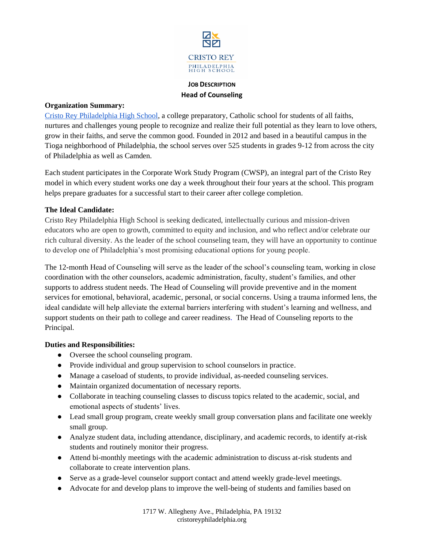

# **JOB DESCRIPTION Head of Counseling**

### **Organization Summary:**

[Cristo Rey Philadelphia High School,](https://cristoreyphiladelphia.org/) a college preparatory, Catholic school for students of all faiths, nurtures and challenges young people to recognize and realize their full potential as they learn to love others, grow in their faiths, and serve the common good. Founded in 2012 and based in a beautiful campus in the Tioga neighborhood of Philadelphia, the school serves over 525 students in grades 9-12 from across the city of Philadelphia as well as Camden.

Each student participates in the Corporate Work Study Program (CWSP), an integral part of the Cristo Rey model in which every student works one day a week throughout their four years at the school. This program helps prepare graduates for a successful start to their career after college completion.

## **The Ideal Candidate:**

Cristo Rey Philadelphia High School is seeking dedicated, intellectually curious and mission-driven educators who are open to growth, committed to equity and inclusion, and who reflect and/or celebrate our rich cultural diversity. As the leader of the school counseling team, they will have an opportunity to continue to develop one of Philadelphia's most promising educational options for young people.

The 12-month Head of Counseling will serve as the leader of the school's counseling team, working in close coordination with the other counselors, academic administration, faculty, student's families, and other supports to address student needs. The Head of Counseling will provide preventive and in the moment services for emotional, behavioral, academic, personal, or social concerns. Using a trauma informed lens, the ideal candidate will help alleviate the external barriers interfering with student's learning and wellness, and support students on their path to college and career readiness. The Head of Counseling reports to the Principal.

## **Duties and Responsibilities:**

- Oversee the school counseling program.
- Provide individual and group supervision to school counselors in practice.
- Manage a caseload of students, to provide individual, as-needed counseling services.
- Maintain organized documentation of necessary reports.
- Collaborate in teaching counseling classes to discuss topics related to the academic, social, and emotional aspects of students' lives.
- Lead small group program, create weekly small group conversation plans and facilitate one weekly small group.
- Analyze student data, including attendance, disciplinary, and academic records, to identify at-risk students and routinely monitor their progress.
- Attend bi-monthly meetings with the academic administration to discuss at-risk students and collaborate to create intervention plans.
- Serve as a grade-level counselor support contact and attend weekly grade-level meetings.
- Advocate for and develop plans to improve the well-being of students and families based on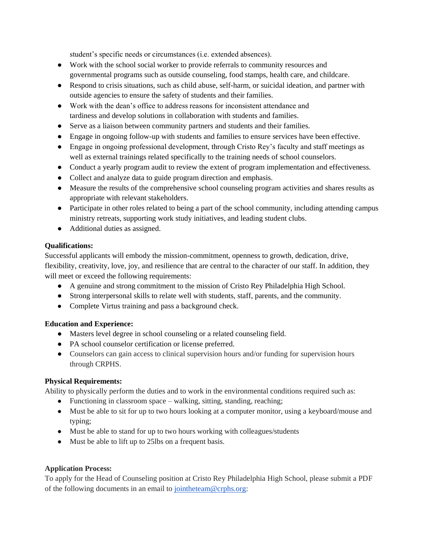student's specific needs or circumstances (i.e. extended absences).

- Work with the school social worker to provide referrals to community resources and governmental programs such as outside counseling, food stamps, health care, and childcare.
- Respond to crisis situations, such as child abuse, self-harm, or suicidal ideation, and partner with outside agencies to ensure the safety of students and their families.
- Work with the dean's office to address reasons for inconsistent attendance and tardiness and develop solutions in collaboration with students and families.
- Serve as a liaison between community partners and students and their families.
- Engage in ongoing follow-up with students and families to ensure services have been effective.
- Engage in ongoing professional development, through Cristo Rey's faculty and staff meetings as well as external trainings related specifically to the training needs of school counselors.
- Conduct a yearly program audit to review the extent of program implementation and effectiveness.
- Collect and analyze data to guide program direction and emphasis.
- Measure the results of the comprehensive school counseling program activities and shares results as appropriate with relevant stakeholders.
- Participate in other roles related to being a part of the school community, including attending campus ministry retreats, supporting work study initiatives, and leading student clubs.
- Additional duties as assigned.

## **Qualifications:**

Successful applicants will embody the mission-commitment, openness to growth, dedication, drive, flexibility, creativity, love, joy, and resilience that are central to the character of our staff. In addition, they will meet or exceed the following requirements:

- A genuine and strong commitment to the mission of Cristo Rey Philadelphia High School.
- Strong interpersonal skills to relate well with students, staff, parents, and the community.
- Complete Virtus training and pass a background check.

## **Education and Experience:**

- Masters level degree in school counseling or a related counseling field.
- PA school counselor certification or license preferred.
- Counselors can gain access to clinical supervision hours and/or funding for supervision hours through CRPHS.

## **Physical Requirements:**

Ability to physically perform the duties and to work in the environmental conditions required such as:

- Functioning in classroom space walking, sitting, standing, reaching;
- Must be able to sit for up to two hours looking at a computer monitor, using a keyboard/mouse and typing;
- Must be able to stand for up to two hours working with colleagues/students
- Must be able to lift up to 25lbs on a frequent basis.

## **Application Process:**

To apply for the Head of Counseling position at Cristo Rey Philadelphia High School, please submit a PDF of the following documents in an email to [jointheteam@crphs.org:](mailto:jointheteam@crphs.org)